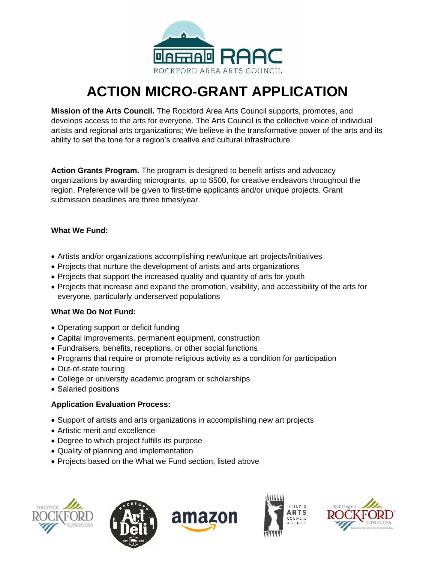

# **ACTION MICRO-GRANT APPLICATION**

**Mission of the Arts Council.** The Rockford Area Arts Council supports, promotes, and develops access to the arts for everyone. The Arts Council is the collective voice of individual artists and regional arts organizations; We believe in the transformative power of the arts and its ability to set the tone for a region's creative and cultural infrastructure.

**Action Grants Program.** The program is designed to benefit artists and advocacy organizations by awarding microgrants, up to \$500, for creative endeavors throughout the region. Preference will be given to first-time applicants and/or unique projects. Grant submission deadlines are three times/year.

#### **What We Fund:**

- Artists and/or organizations accomplishing new/unique art projects/initiatives
- Projects that nurture the development of artists and arts organizations
- Projects that support the increased quality and quantity of arts for youth
- Projects that increase and expand the promotion, visibility, and accessibility of the arts for everyone, particularly underserved populations

### **What We Do Not Fund:**

- Operating support or deficit funding
- Capital improvements, permanent equipment, construction
- Fundraisers, benefits, receptions, or other social functions
- Programs that require or promote religious activity as a condition for participation
- Out-of-state touring
- College or university academic program or scholarships
- Salaried positions

### **Application Evaluation Process:**

- Support of artists and arts organizations in accomplishing new art projects
- Artistic merit and excellence
- Degree to which project fulfills its purpose
- Quality of planning and implementation
- Projects based on the What we Fund section, listed above









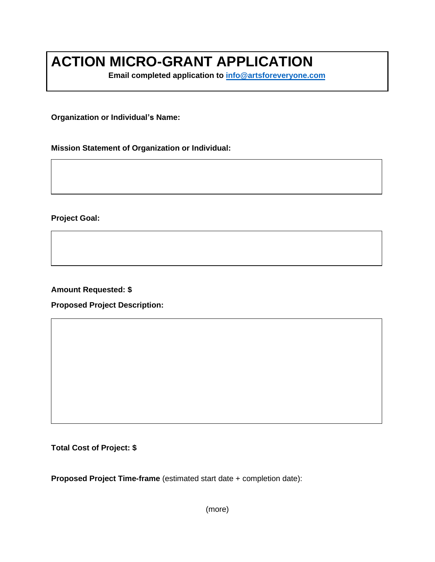# **ACTION MICRO-GRANT APPLICATION**

**Email completed application to [info@artsforeveryone.com](mailto:info@artsforeveryone.com)**

**Organization or Individual's Name:** 

**Mission Statement of Organization or Individual:**

**Project Goal:**

**Amount Requested: \$**

**Proposed Project Description:**

**Total Cost of Project: \$**

**Proposed Project Time-frame** (estimated start date + completion date):

(more)